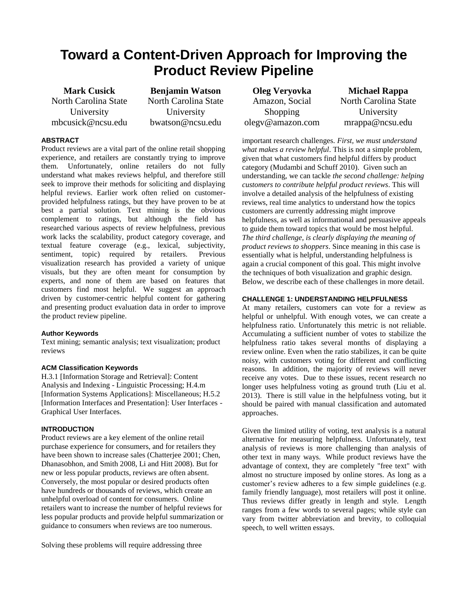# **Toward a Content-Driven Approach for Improving the Product Review Pipeline**

**Mark Cusick** North Carolina State University mbcusick@ncsu.edu

**Benjamin Watson** North Carolina State University bwatson@ncsu.edu

## **ABSTRACT**

Product reviews are a vital part of the online retail shopping experience, and retailers are constantly trying to improve them. Unfortunately, online retailers do not fully understand what makes reviews helpful, and therefore still seek to improve their methods for soliciting and displaying helpful reviews. Earlier work often relied on customerprovided helpfulness ratings, but they have proven to be at best a partial solution. Text mining is the obvious complement to ratings, but although the field has researched various aspects of review helpfulness, previous work lacks the scalability, product category coverage, and textual feature coverage (e.g., lexical, subjectivity, sentiment, topic) required by retailers. Previous visualization research has provided a variety of unique visuals, but they are often meant for consumption by experts, and none of them are based on features that customers find most helpful. We suggest an approach driven by customer-centric helpful content for gathering and presenting product evaluation data in order to improve the product review pipeline.

#### **Author Keywords**

Text mining; semantic analysis; text visualization; product reviews

#### **ACM Classification Keywords**

H.3.1 [Information Storage and Retrieval]: Content Analysis and Indexing - Linguistic Processing; H.4.m [Information Systems Applications]: Miscellaneous; H.5.2 [Information Interfaces and Presentation]: User Interfaces - Graphical User Interfaces.

### **INTRODUCTION**

Product reviews are a key element of the online retail purchase experience for consumers, and for retailers they have been shown to increase sales (Chatterjee 2001; Chen, Dhanasobhon, and Smith 2008, Li and Hitt 2008). But for new or less popular products, reviews are often absent. Conversely, the most popular or desired products often have hundreds or thousands of reviews, which create an unhelpful overload of content for consumers. Online retailers want to increase the number of helpful reviews for less popular products and provide helpful summarization or guidance to consumers when reviews are too numerous.

Solving these problems will require addressing three

**Oleg Veryovka** Amazon, Social Shopping [olegv@amazon.com](mailto:olegv@amazon.com)

**Michael Rappa** North Carolina State University mrappa@ncsu.edu

important research challenges. *First, we must understand what makes a review helpful*. This is not a simple problem, given that what customers find helpful differs by product category (Mudambi and Schuff 2010). Given such an understanding, we can tackle *the second challenge: helping customers to contribute helpful product reviews*. This will involve a detailed analysis of the helpfulness of existing reviews, real time analytics to understand how the topics customers are currently addressing might improve helpfulness, as well as informational and persuasive appeals to guide them toward topics that would be most helpful. *The third challenge, is clearly displaying the meaning of product reviews to shoppers*. Since meaning in this case is essentially what is helpful, understanding helpfulness is again a crucial component of this goal. This might involve the techniques of both visualization and graphic design. Below, we describe each of these challenges in more detail.

#### **CHALLENGE 1: UNDERSTANDING HELPFULNESS**

At many retailers, customers can vote for a review as helpful or unhelpful. With enough votes, we can create a helpfulness ratio. Unfortunately this metric is not reliable. Accumulating a sufficient number of votes to stabilize the helpfulness ratio takes several months of displaying a review online. Even when the ratio stabilizes, it can be quite noisy, with customers voting for different and conflicting reasons. In addition, the majority of reviews will never receive any votes. Due to these issues, recent research no longer uses helpfulness voting as ground truth (Liu et al. 2013). There is still value in the helpfulness voting, but it should be paired with manual classification and automated approaches.

Given the limited utility of voting, text analysis is a natural alternative for measuring helpfulness. Unfortunately, text analysis of reviews is more challenging than analysis of other text in many ways. While product reviews have the advantage of context, they are completely "free text" with almost no structure imposed by online stores. As long as a customer's review adheres to a few simple guidelines (e.g. family friendly language), most retailers will post it online. Thus reviews differ greatly in length and style. Length ranges from a few words to several pages; while style can vary from twitter abbreviation and brevity, to colloquial speech, to well written essays.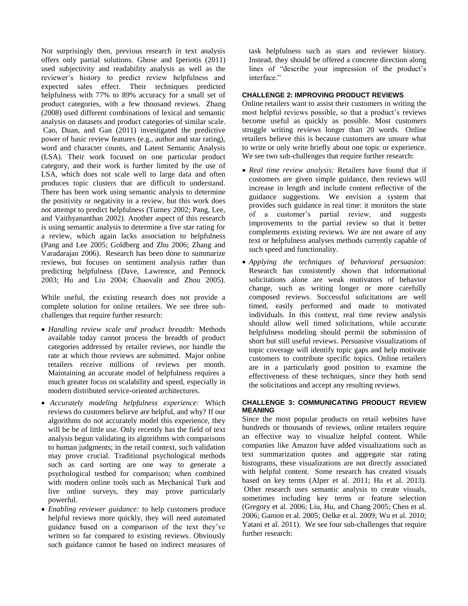Not surprisingly then, previous research in text analysis offers only partial solutions. Ghose and Iperiotis (2011) used subjectivity and readability analysis as well as the reviewer's history to predict review helpfulness and expected sales effect. Their techniques predicted helpfulness with 77% to 89% accuracy for a small set of product categories, with a few thousand reviews. Zhang (2008) used different combinations of lexical and semantic analysis on datasets and product categories of similar scale. Cao, Duan, and Gan (2011) investigated the predictive power of basic review features (e.g., author and star rating), word and character counts, and Latent Semantic Analysis (LSA). Their work focused on one particular product category, and their work is further limited by the use of LSA, which does not scale well to large data and often produces topic clusters that are difficult to understand. There has been work using semantic analysis to determine the positivity or negativity in a review, but this work does not attempt to predict helpfulness (Turney 2002; Pang, Lee, and Vaithyananthan 2002). Another aspect of this research is using semantic analysis to determine a five star rating for a review, which again lacks association to helpfulness (Pang and Lee 2005; Goldberg and Zhu 2006; Zhang and Varadarajan 2006). Research has been done to summarize reviews, but focuses on sentiment analysis rather than predicting helpfulness (Dave, Lawrence, and Pennock 2003; Hu and Liu 2004; Chaovalit and Zhou 2005).

While useful, the existing research does not provide a complete solution for online retailers. We see three subchallenges that require further research:

- *Handling review scale and product breadth:* Methods available today cannot process the breadth of product categories addressed by retailer reviews, nor handle the rate at which those reviews are submitted. Major online retailers receive millions of reviews per month. Maintaining an accurate model of helpfulness requires a much greater focus on scalability and speed, especially in modern distributed service-oriented architectures.
- *Accurately modeling helpfulness experience:* Which reviews do customers believe are helpful, and why? If our algorithms do not accurately model this experience, they will be be of little use. Only recently has the field of text analysis begun validating its algorithms with comparisons to human judgments; in the retail context, such validation may prove crucial. Traditional psychological methods such as card sorting are one way to generate a psychological testbed for comparison; when combined with modern online tools such as Mechanical Turk and live online surveys, they may prove particularly powerful.
- *Enabling reviewer guidance:* to help customers produce helpful reviews more quickly, they will need automated guidance based on a comparison of the text they've written so far compared to existing reviews. Obviously such guidance cannot be based on indirect measures of

task helpfulness such as stars and reviewer history. Instead, they should be offered a concrete direction along lines of "describe your impression of the product's interface."

#### **CHALLENGE 2: IMPROVING PRODUCT REVIEWS**

Online retailers want to assist their customers in writing the most helpful reviews possible, so that a product's reviews become useful as quickly as possible. Most customers struggle writing reviews longer than 20 words. Online retailers believe this is because customers are unsure what to write or only write briefly about one topic or experience. We see two sub-challenges that require further research:

- *Real time review analysis:* Retailers have found that if customers are given simple guidance, then reviews will increase in length and include content reflective of the guidance suggestions. We envision a system that provides such guidance in real time: it monitors the state of a customer's partial review, and suggests improvements to the partial review so that it better complements existing reviews. We are not aware of any text or helpfulness analyses methods currently capable of such speed and functionality.
- *Applying the techniques of behavioral persuasion:* Research has consistently shown that informational solicitations alone are weak motivators of behavior change, such as writing longer or more carefully composed reviews. Successful solicitations are well timed, easily performed and made to motivated individuals. In this context, real time review analysis should allow well timed solicitations, while accurate helpfulness modeling should permit the submission of short but still useful reviews. Persuasive visualizations of topic coverage will identify topic gaps and help motivate customers to contribute specific topics. Online retailers are in a particularly good position to examine the effectiveness of these techniques, since they both send the solicitations and accept any resulting reviews.

#### **CHALLENGE 3: COMMUNICATING PRODUCT REVIEW MEANING**

Since the most popular products on retail websites have hundreds or thousands of reviews, online retailers require an effective way to visualize helpful content. While companies like Amazon have added visualizations such as text summarization quotes and aggregate star rating histograms, these visualizations are not directly associated with helpful content. Some research has created visuals based on key terms (Alper et al. 2011; Hu et al. 2013). Other research uses semantic analysis to create visuals, sometimes including key terms or feature selection (Gregory et al. 2006; Liu, Hu, and Chang 2005; Chen et al. 2006; Gamon et al. 2005; Oelke et al. 2009; Wu et al. 2010; Yatani et al. 2011). We see four sub-challenges that require further research: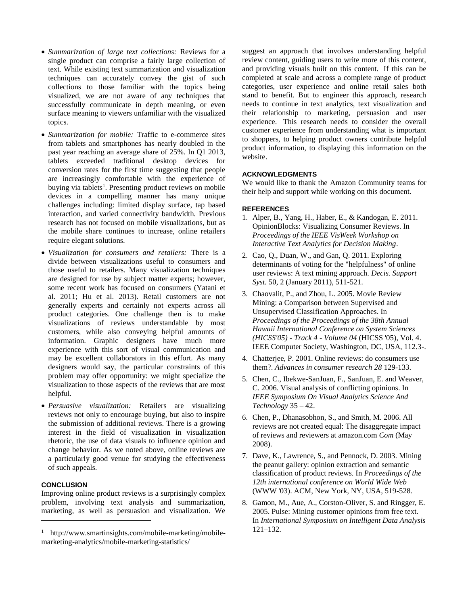- *Summarization of large text collections:* Reviews for a single product can comprise a fairly large collection of text. While existing text summarization and visualization techniques can accurately convey the gist of such collections to those familiar with the topics being visualized, we are not aware of any techniques that successfully communicate in depth meaning, or even surface meaning to viewers unfamiliar with the visualized topics.
- *Summarization for mobile:* Traffic to e-commerce sites from tablets and smartphones has nearly doubled in the past year reaching an average share of 25%. In Q1 2013, tablets exceeded traditional desktop devices for conversion rates for the first time suggesting that people are increasingly comfortable with the experience of buying via tablets<sup>1</sup>. Presenting product reviews on mobile devices in a compelling manner has many unique challenges including: limited display surface, tap based interaction, and varied connectivity bandwidth. Previous research has not focused on mobile visualizations, but as the mobile share continues to increase, online retailers require elegant solutions.
- *Visualization for consumers and retailers:* There is a divide between visualizations useful to consumers and those useful to retailers. Many visualization techniques are designed for use by subject matter experts; however, some recent work has focused on consumers (Yatani et al. 2011; Hu et al. 2013). Retail customers are not generally experts and certainly not experts across all product categories. One challenge then is to make visualizations of reviews understandable by most customers, while also conveying helpful amounts of information. Graphic designers have much more experience with this sort of visual communication and may be excellent collaborators in this effort. As many designers would say, the particular constraints of this problem may offer opportunity: we might specialize the visualization to those aspects of the reviews that are most helpful.
- *Persuasive visualization:* Retailers are visualizing reviews not only to encourage buying, but also to inspire the submission of additional reviews. There is a growing interest in the field of visualization in visualization rhetoric, the use of data visuals to influence opinion and change behavior. As we noted above, online reviews are a particularly good venue for studying the effectiveness of such appeals.

#### **CONCLUSION**

 $\overline{a}$ 

Improving online product reviews is a surprisingly complex problem, involving text analysis and summarization, marketing, as well as persuasion and visualization. We suggest an approach that involves understanding helpful review content, guiding users to write more of this content, and providing visuals built on this content. If this can be completed at scale and across a complete range of product categories, user experience and online retail sales both stand to benefit. But to engineer this approach, research needs to continue in text analytics, text visualization and their relationship to marketing, persuasion and user experience. This research needs to consider the overall customer experience from understanding what is important to shoppers, to helping product owners contribute helpful product information, to displaying this information on the website.

#### **ACKNOWLEDGMENTS**

We would like to thank the Amazon Community teams for their help and support while working on this document.

#### **REFERENCES**

- 1. Alper, B., Yang, H., Haber, E., & Kandogan, E. 2011. OpinionBlocks: Visualizing Consumer Reviews. In *Proceedings of the IEEE VisWeek Workshop on Interactive Text Analytics for Decision Making*.
- 2. Cao, Q., Duan, W., and Gan, Q. 2011. Exploring determinants of voting for the "helpfulness" of online user reviews: A text mining approach. *Decis. Support Syst.* 50, 2 (January 2011), 511-521.
- 3. Chaovalit, P., and Zhou, L. 2005. Movie Review Mining: a Comparison between Supervised and Unsupervised Classification Approaches. In *Proceedings of the Proceedings of the 38th Annual Hawaii International Conference on System Sciences (HICSS'05) - Track 4 - Volume 04* (HICSS '05), Vol. 4. IEEE Computer Society, Washington, DC, USA, 112.3-.
- 4. Chatterjee, P. 2001. Online reviews: do consumers use them?. *Advances in consumer research 28* 129-133.
- 5. Chen, C., Ibekwe-SanJuan, F., SanJuan, E. and Weaver, C. 2006. Visual analysis of conflicting opinions. In *IEEE Symposium On Visual Analytics Science And Technology* 35 – 42.
- 6. Chen, P., Dhanasobhon, S., and Smith, M. 2006. All reviews are not created equal: The disaggregate impact of reviews and reviewers at amazon.com *Com* (May 2008).
- 7. Dave, K., Lawrence, S., and Pennock, D. 2003. Mining the peanut gallery: opinion extraction and semantic classification of product reviews. In *Proceedings of the 12th international conference on World Wide Web* (WWW '03). ACM, New York, NY, USA, 519-528.
- 8. Gamon, M., Aue, A., Corston-Oliver, S. and Ringger, E. 2005. Pulse: Mining customer opinions from free text. In *International Symposium on Intelligent Data Analysis* 121–132.

<sup>&</sup>lt;sup>1</sup> http://www.smartinsights.com/mobile-marketing/mobilemarketing-analytics/mobile-marketing-statistics/